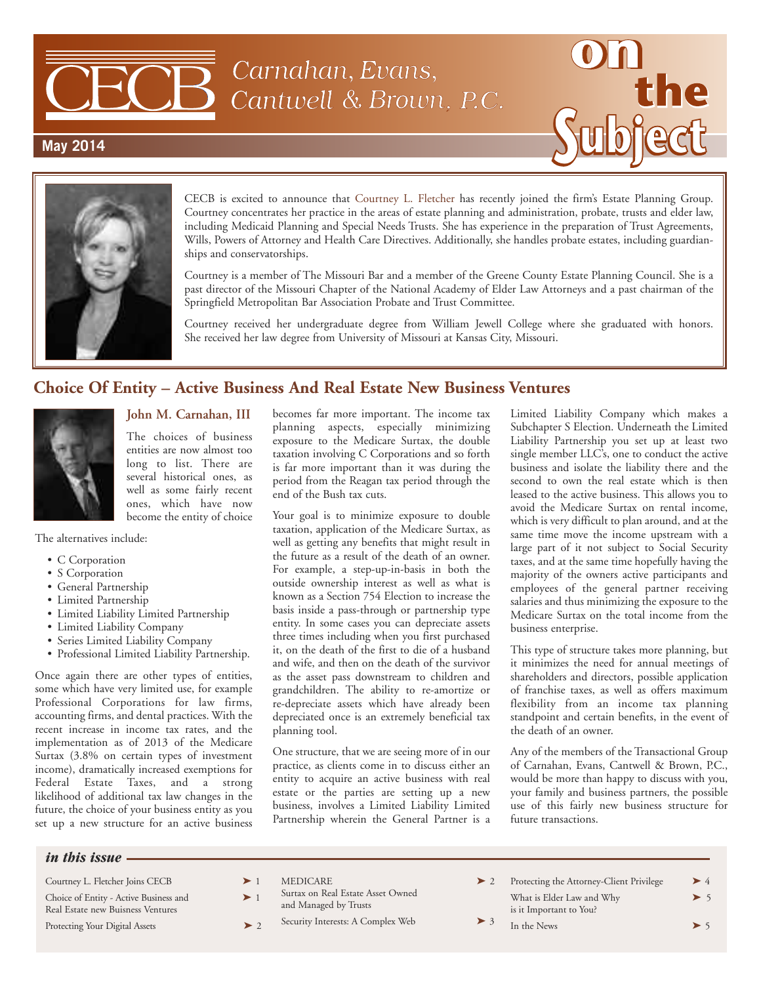

Carnahan, Evans, Cantwell & Brown, P.C.

## **May 2014**



CECB is excited to announce that Courtney L. Fletcher has recently joined the firm's Estate Planning Group. Courtney concentrates her practice in the areas of estate planning and administration, probate, trusts and elder law, including Medicaid Planning and Special Needs Trusts. She has experience in the preparation of Trust Agreements, Wills, Powers of Attorney and Health Care Directives. Additionally, she handles probate estates, including guardianships and conservatorships.

Courtney is a member of The Missouri Bar and a member of the Greene County Estate Planning Council. She is a past director of the Missouri Chapter of the National Academy of Elder Law Attorneys and a past chairman of the Springfield Metropolitan Bar Association Probate and Trust Committee.

Courtney received her undergraduate degree from William Jewell College where she graduated with honors. She received her law degree from University of Missouri at Kansas City, Missouri.

## **Choice Of Entity – Active Business And Real Estate New Business Ventures**



#### **John M. Carnahan, III**

The choices of business entities are now almost too long to list. There are several historical ones, as well as some fairly recent ones, which have now become the entity of choice

The alternatives include:

- C Corporation
- S Corporation
- General Partnership
- Limited Partnership
- Limited Liability Limited Partnership
- Limited Liability Company
- Series Limited Liability Company
- Professional Limited Liability Partnership.

Once again there are other types of entities, some which have very limited use, for example Professional Corporations for law firms, accounting firms, and dental practices. With the recent increase in income tax rates, and the implementation as of 2013 of the Medicare Surtax (3.8% on certain types of investment income), dramatically increased exemptions for Federal Estate Taxes, and a strong likelihood of additional tax law changes in the future, the choice of your business entity as you set up a new structure for an active business becomes far more important. The income tax planning aspects, especially minimizing exposure to the Medicare Surtax, the double taxation involving C Corporations and so forth is far more important than it was during the period from the Reagan tax period through the end of the Bush tax cuts.

Your goal is to minimize exposure to double taxation, application of the Medicare Surtax, as well as getting any benefits that might result in the future as a result of the death of an owner. For example, a step-up-in-basis in both the outside ownership interest as well as what is known as a Section 754 Election to increase the basis inside a pass-through or partnership type entity. In some cases you can depreciate assets three times including when you first purchased it, on the death of the first to die of a husband and wife, and then on the death of the survivor as the asset pass downstream to children and grandchildren. The ability to re-amortize or re-depreciate assets which have already been depreciated once is an extremely beneficial tax planning tool.

One structure, that we are seeing more of in our practice, as clients come in to discuss either an entity to acquire an active business with real estate or the parties are setting up a new business, involves a Limited Liability Limited Partnership wherein the General Partner is a

Limited Liability Company which makes a Subchapter S Election. Underneath the Limited Liability Partnership you set up at least two single member LLC's, one to conduct the active business and isolate the liability there and the second to own the real estate which is then leased to the active business. This allows you to avoid the Medicare Surtax on rental income, which is very difficult to plan around, and at the same time move the income upstream with a large part of it not subject to Social Security taxes, and at the same time hopefully having the majority of the owners active participants and employees of the general partner receiving salaries and thus minimizing the exposure to the Medicare Surtax on the total income from the business enterprise.

This type of structure takes more planning, but it minimizes the need for annual meetings of shareholders and directors, possible application of franchise taxes, as well as offers maximum flexibility from an income tax planning standpoint and certain benefits, in the event of the death of an owner.

Any of the members of the Transactional Group of Carnahan, Evans, Cantwell & Brown, P.C., would be more than happy to discuss with you, your family and business partners, the possible use of this fairly new business structure for future transactions.

#### *in this issue*

Courtney L. Fletcher Joins CECB  $\longrightarrow$  1 Choice of Entity - Active Business and Real Estate new Buisness Ventures Protecting Your Digital Assets  $> 2$ 

**MEDICARE** 

Surtax on Real Estate Asset Owned

and Managed by Trusts

- Security Interests: A Complex Web
- Protecting the Attorney-Client Privilege What is Elder Law and Why  $> 5$ is it Important to You? In the News  $> 5$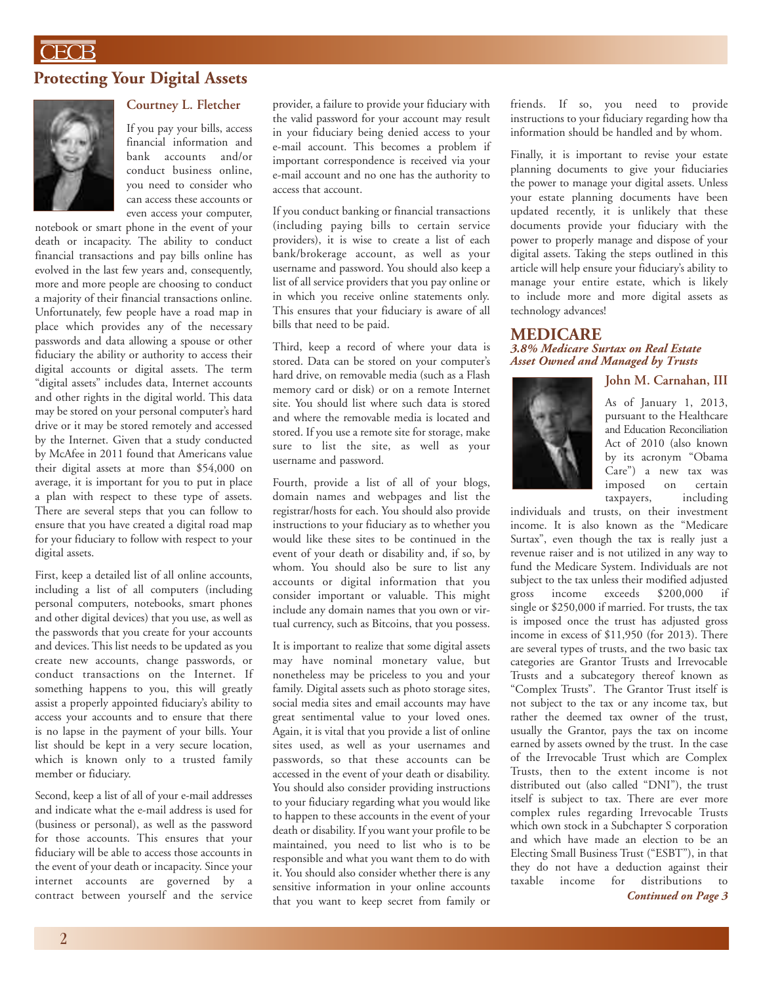## **CECB**

## **Protecting Your Digital Assets**



#### **Courtney L. Fletcher**

If you pay your bills, access financial information and bank accounts and/or conduct business online, you need to consider who can access these accounts or even access your computer,

notebook or smart phone in the event of your death or incapacity. The ability to conduct financial transactions and pay bills online has evolved in the last few years and, consequently, more and more people are choosing to conduct a majority of their financial transactions online. Unfortunately, few people have a road map in place which provides any of the necessary passwords and data allowing a spouse or other fiduciary the ability or authority to access their digital accounts or digital assets. The term "digital assets" includes data, Internet accounts and other rights in the digital world. This data may be stored on your personal computer's hard drive or it may be stored remotely and accessed by the Internet. Given that a study conducted by McAfee in 2011 found that Americans value their digital assets at more than \$54,000 on average, it is important for you to put in place a plan with respect to these type of assets. There are several steps that you can follow to ensure that you have created a digital road map for your fiduciary to follow with respect to your digital assets.

First, keep a detailed list of all online accounts, including a list of all computers (including personal computers, notebooks, smart phones and other digital devices) that you use, as well as the passwords that you create for your accounts and devices. This list needs to be updated as you create new accounts, change passwords, or conduct transactions on the Internet. If something happens to you, this will greatly assist a properly appointed fiduciary's ability to access your accounts and to ensure that there is no lapse in the payment of your bills. Your list should be kept in a very secure location, which is known only to a trusted family member or fiduciary.

Second, keep a list of all of your e-mail addresses and indicate what the e-mail address is used for (business or personal), as well as the password for those accounts. This ensures that your fiduciary will be able to access those accounts in the event of your death or incapacity. Since your internet accounts are governed by a contract between yourself and the service provider, a failure to provide your fiduciary with the valid password for your account may result in your fiduciary being denied access to your e-mail account. This becomes a problem if important correspondence is received via your e-mail account and no one has the authority to access that account.

If you conduct banking or financial transactions (including paying bills to certain service providers), it is wise to create a list of each bank/brokerage account, as well as your username and password. You should also keep a list of all service providers that you pay online or in which you receive online statements only. This ensures that your fiduciary is aware of all bills that need to be paid.

Third, keep a record of where your data is stored. Data can be stored on your computer's hard drive, on removable media (such as a Flash memory card or disk) or on a remote Internet site. You should list where such data is stored and where the removable media is located and stored. If you use a remote site for storage, make sure to list the site, as well as your username and password.

Fourth, provide a list of all of your blogs, domain names and webpages and list the registrar/hosts for each. You should also provide instructions to your fiduciary as to whether you would like these sites to be continued in the event of your death or disability and, if so, by whom. You should also be sure to list any accounts or digital information that you consider important or valuable. This might include any domain names that you own or virtual currency, such as Bitcoins, that you possess.

It is important to realize that some digital assets may have nominal monetary value, but nonetheless may be priceless to you and your family. Digital assets such as photo storage sites, social media sites and email accounts may have great sentimental value to your loved ones. Again, it is vital that you provide a list of online sites used, as well as your usernames and passwords, so that these accounts can be accessed in the event of your death or disability. You should also consider providing instructions to your fiduciary regarding what you would like to happen to these accounts in the event of your death or disability. If you want your profile to be maintained, you need to list who is to be responsible and what you want them to do with it. You should also consider whether there is any sensitive information in your online accounts that you want to keep secret from family or

friends. If so, you need to provide instructions to your fiduciary regarding how tha information should be handled and by whom.

Finally, it is important to revise your estate planning documents to give your fiduciaries the power to manage your digital assets. Unless your estate planning documents have been updated recently, it is unlikely that these documents provide your fiduciary with the power to properly manage and dispose of your digital assets. Taking the steps outlined in this article will help ensure your fiduciary's ability to manage your entire estate, which is likely to include more and more digital assets as technology advances!

#### **MEDICARE** *3.8% Medicare Surtax on Real Estate Asset Owned and Managed by Trusts*

#### **John M. Carnahan, III**



As of January 1, 2013, pursuant to the Healthcare and Education Reconciliation Act of 2010 (also known by its acronym "Obama Care") a new tax was imposed on certain taxpayers, including

individuals and trusts, on their investment income. It is also known as the "Medicare Surtax", even though the tax is really just a revenue raiser and is not utilized in any way to fund the Medicare System. Individuals are not subject to the tax unless their modified adjusted gross income exceeds \$200,000 if single or \$250,000 if married. For trusts, the tax is imposed once the trust has adjusted gross income in excess of \$11,950 (for 2013). There are several types of trusts, and the two basic tax categories are Grantor Trusts and Irrevocable Trusts and a subcategory thereof known as "Complex Trusts". The Grantor Trust itself is not subject to the tax or any income tax, but rather the deemed tax owner of the trust, usually the Grantor, pays the tax on income earned by assets owned by the trust. In the case of the Irrevocable Trust which are Complex Trusts, then to the extent income is not distributed out (also called "DNI"), the trust itself is subject to tax. There are ever more complex rules regarding Irrevocable Trusts which own stock in a Subchapter S corporation and which have made an election to be an Electing Small Business Trust ("ESBT"), in that they do not have a deduction against their taxable income for distributions to

*Continued on Page 3*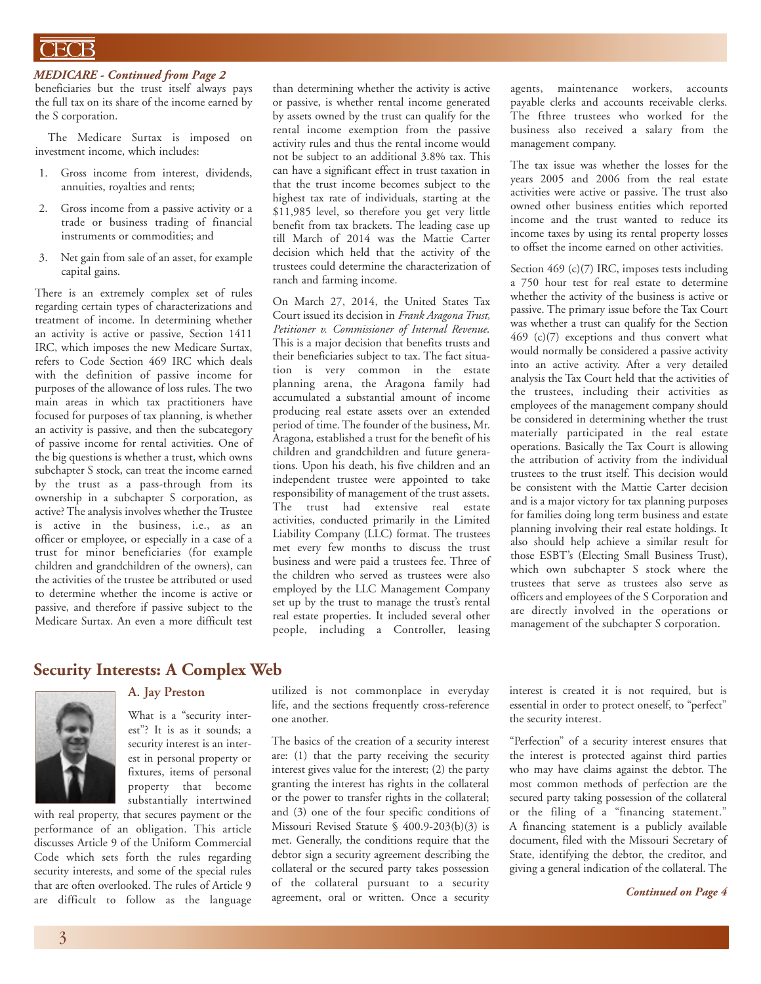## ECB

#### *MEDICARE - Continued from Page 2*

beneficiaries but the trust itself always pays the full tax on its share of the income earned by the S corporation.

The Medicare Surtax is imposed on investment income, which includes:

- 1. Gross income from interest, dividends, annuities, royalties and rents;
- 2. Gross income from a passive activity or a trade or business trading of financial instruments or commodities; and
- 3. Net gain from sale of an asset, for example capital gains.

There is an extremely complex set of rules regarding certain types of characterizations and treatment of income. In determining whether an activity is active or passive, Section 1411 IRC, which imposes the new Medicare Surtax, refers to Code Section 469 IRC which deals with the definition of passive income for purposes of the allowance of loss rules. The two main areas in which tax practitioners have focused for purposes of tax planning, is whether an activity is passive, and then the subcategory of passive income for rental activities. One of the big questions is whether a trust, which owns subchapter S stock, can treat the income earned by the trust as a pass-through from its ownership in a subchapter S corporation, as active? The analysis involves whether the Trustee is active in the business, i.e., as an officer or employee, or especially in a case of a trust for minor beneficiaries (for example children and grandchildren of the owners), can the activities of the trustee be attributed or used to determine whether the income is active or passive, and therefore if passive subject to the Medicare Surtax. An even a more difficult test than determining whether the activity is active or passive, is whether rental income generated by assets owned by the trust can qualify for the rental income exemption from the passive activity rules and thus the rental income would not be subject to an additional 3.8% tax. This can have a significant effect in trust taxation in that the trust income becomes subject to the highest tax rate of individuals, starting at the \$11,985 level, so therefore you get very little benefit from tax brackets. The leading case up till March of 2014 was the Mattie Carter decision which held that the activity of the trustees could determine the characterization of ranch and farming income.

On March 27, 2014, the United States Tax Court issued its decision in *Frank Aragona Trust, Petitioner v. Commissioner of Internal Revenue*. This is a major decision that benefits trusts and their beneficiaries subject to tax. The fact situation is very common in the estate planning arena, the Aragona family had accumulated a substantial amount of income producing real estate assets over an extended period of time. The founder of the business, Mr. Aragona, established a trust for the benefit of his children and grandchildren and future generations. Upon his death, his five children and an independent trustee were appointed to take responsibility of management of the trust assets. The trust had extensive real estate activities, conducted primarily in the Limited Liability Company (LLC) format. The trustees met every few months to discuss the trust business and were paid a trustees fee. Three of the children who served as trustees were also employed by the LLC Management Company set up by the trust to manage the trust's rental real estate properties. It included several other people, including a Controller, leasing

agents, maintenance workers, accounts payable clerks and accounts receivable clerks. The fthree trustees who worked for the business also received a salary from the management company.

The tax issue was whether the losses for the years 2005 and 2006 from the real estate activities were active or passive. The trust also owned other business entities which reported income and the trust wanted to reduce its income taxes by using its rental property losses to offset the income earned on other activities.

Section 469 (c)(7) IRC, imposes tests including a 750 hour test for real estate to determine whether the activity of the business is active or passive. The primary issue before the Tax Court was whether a trust can qualify for the Section 469 (c)(7) exceptions and thus convert what would normally be considered a passive activity into an active activity. After a very detailed analysis the Tax Court held that the activities of the trustees, including their activities as employees of the management company should be considered in determining whether the trust materially participated in the real estate operations. Basically the Tax Court is allowing the attribution of activity from the individual trustees to the trust itself. This decision would be consistent with the Mattie Carter decision and is a major victory for tax planning purposes for families doing long term business and estate planning involving their real estate holdings. It also should help achieve a similar result for those ESBT's (Electing Small Business Trust), which own subchapter S stock where the trustees that serve as trustees also serve as officers and employees of the S Corporation and are directly involved in the operations or management of the subchapter S corporation.

#### **Security Interests: A Complex Web**



#### **A. Jay Preston**

What is a "security interest"? It is as it sounds; a security interest is an interest in personal property or fixtures, items of personal property that become substantially intertwined

with real property, that secures payment or the performance of an obligation. This article discusses Article 9 of the Uniform Commercial Code which sets forth the rules regarding security interests, and some of the special rules that are often overlooked. The rules of Article 9 are difficult to follow as the language

utilized is not commonplace in everyday life, and the sections frequently cross-reference one another.

The basics of the creation of a security interest are: (1) that the party receiving the security interest gives value for the interest; (2) the party granting the interest has rights in the collateral or the power to transfer rights in the collateral; and (3) one of the four specific conditions of Missouri Revised Statute § 400.9-203(b)(3) is met. Generally, the conditions require that the debtor sign a security agreement describing the collateral or the secured party takes possession of the collateral pursuant to a security agreement, oral or written. Once a security interest is created it is not required, but is essential in order to protect oneself, to "perfect" the security interest.

"Perfection" of a security interest ensures that the interest is protected against third parties who may have claims against the debtor. The most common methods of perfection are the secured party taking possession of the collateral or the filing of a "financing statement." A financing statement is a publicly available document, filed with the Missouri Secretary of State, identifying the debtor, the creditor, and giving a general indication of the collateral. The

*Continued on Page 4*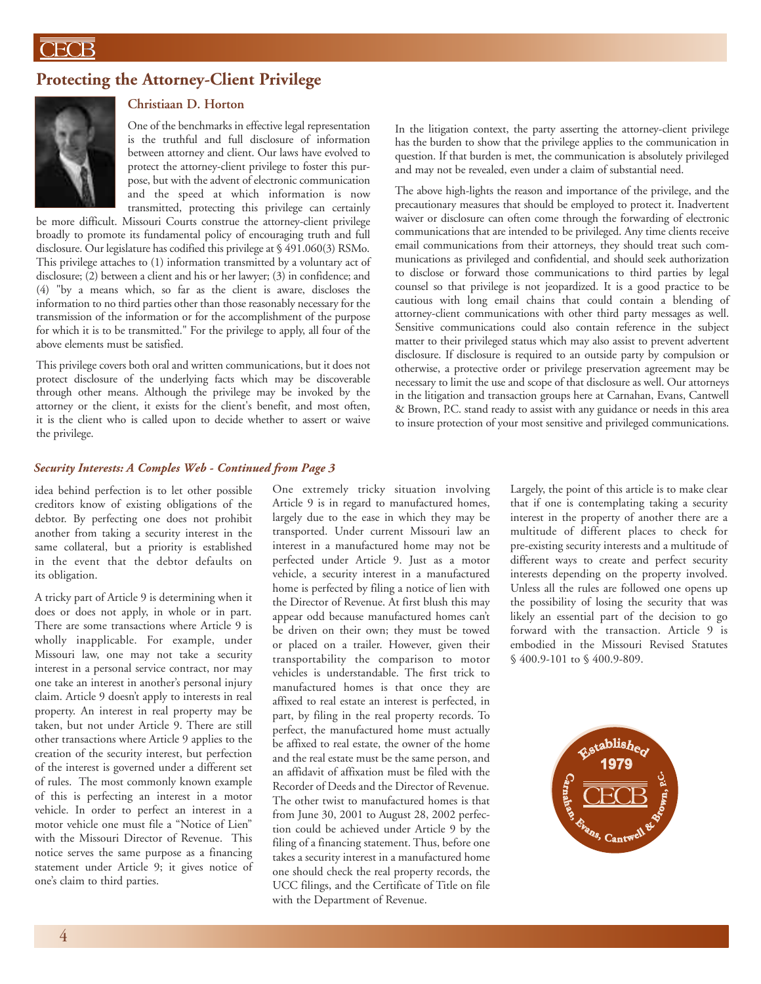## **Protecting the Attorney-Client Privilege**



## **Christiaan D. Horton**

One of the benchmarks in effective legal representation is the truthful and full disclosure of information between attorney and client. Our laws have evolved to protect the attorney-client privilege to foster this purpose, but with the advent of electronic communication and the speed at which information is now transmitted, protecting this privilege can certainly

be more difficult. Missouri Courts construe the attorney-client privilege broadly to promote its fundamental policy of encouraging truth and full disclosure. Our legislature has codified this privilege at § 491.060(3) RSMo. This privilege attaches to (1) information transmitted by a voluntary act of disclosure; (2) between a client and his or her lawyer; (3) in confidence; and (4) "by a means which, so far as the client is aware, discloses the information to no third parties other than those reasonably necessary for the transmission of the information or for the accomplishment of the purpose for which it is to be transmitted." For the privilege to apply, all four of the above elements must be satisfied.

This privilege covers both oral and written communications, but it does not protect disclosure of the underlying facts which may be discoverable through other means. Although the privilege may be invoked by the attorney or the client, it exists for the client's benefit, and most often, it is the client who is called upon to decide whether to assert or waive the privilege.

In the litigation context, the party asserting the attorney-client privilege has the burden to show that the privilege applies to the communication in question. If that burden is met, the communication is absolutely privileged and may not be revealed, even under a claim of substantial need.

The above high-lights the reason and importance of the privilege, and the precautionary measures that should be employed to protect it. Inadvertent waiver or disclosure can often come through the forwarding of electronic communications that are intended to be privileged. Any time clients receive email communications from their attorneys, they should treat such communications as privileged and confidential, and should seek authorization to disclose or forward those communications to third parties by legal counsel so that privilege is not jeopardized. It is a good practice to be cautious with long email chains that could contain a blending of attorney-client communications with other third party messages as well. Sensitive communications could also contain reference in the subject matter to their privileged status which may also assist to prevent advertent disclosure. If disclosure is required to an outside party by compulsion or otherwise, a protective order or privilege preservation agreement may be necessary to limit the use and scope of that disclosure as well. Our attorneys in the litigation and transaction groups here at Carnahan, Evans, Cantwell & Brown, P.C. stand ready to assist with any guidance or needs in this area to insure protection of your most sensitive and privileged communications.

#### *Security Interests: A Comples Web - Continued from Page 3*

idea behind perfection is to let other possible creditors know of existing obligations of the debtor. By perfecting one does not prohibit another from taking a security interest in the same collateral, but a priority is established in the event that the debtor defaults on its obligation.

A tricky part of Article 9 is determining when it does or does not apply, in whole or in part. There are some transactions where Article 9 is wholly inapplicable. For example, under Missouri law, one may not take a security interest in a personal service contract, nor may one take an interest in another's personal injury claim. Article 9 doesn't apply to interests in real property. An interest in real property may be taken, but not under Article 9. There are still other transactions where Article 9 applies to the creation of the security interest, but perfection of the interest is governed under a different set of rules. The most commonly known example of this is perfecting an interest in a motor vehicle. In order to perfect an interest in a motor vehicle one must file a "Notice of Lien" with the Missouri Director of Revenue. This notice serves the same purpose as a financing statement under Article 9; it gives notice of one's claim to third parties.

One extremely tricky situation involving Article 9 is in regard to manufactured homes, largely due to the ease in which they may be transported. Under current Missouri law an interest in a manufactured home may not be perfected under Article 9. Just as a motor vehicle, a security interest in a manufactured home is perfected by filing a notice of lien with the Director of Revenue. At first blush this may appear odd because manufactured homes can't be driven on their own; they must be towed or placed on a trailer. However, given their transportability the comparison to motor vehicles is understandable. The first trick to manufactured homes is that once they are affixed to real estate an interest is perfected, in part, by filing in the real property records. To perfect, the manufactured home must actually be affixed to real estate, the owner of the home and the real estate must be the same person, and an affidavit of affixation must be filed with the Recorder of Deeds and the Director of Revenue. The other twist to manufactured homes is that from June 30, 2001 to August 28, 2002 perfection could be achieved under Article 9 by the filing of a financing statement. Thus, before one takes a security interest in a manufactured home one should check the real property records, the UCC filings, and the Certificate of Title on file with the Department of Revenue.

Largely, the point of this article is to make clear that if one is contemplating taking a security interest in the property of another there are a multitude of different places to check for pre-existing security interests and a multitude of different ways to create and perfect security interests depending on the property involved. Unless all the rules are followed one opens up the possibility of losing the security that was likely an essential part of the decision to go forward with the transaction. Article 9 is embodied in the Missouri Revised Statutes § 400.9-101 to § 400.9-809.

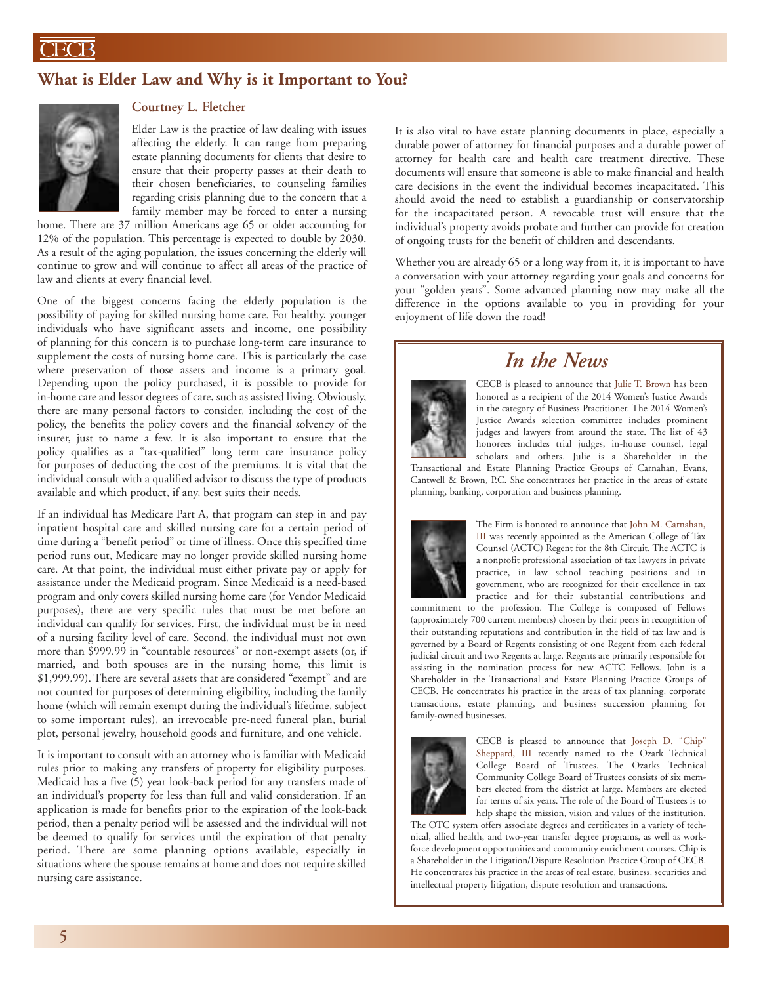## **What is Elder Law and Why is it Important to You?**



### **Courtney L. Fletcher**

Elder Law is the practice of law dealing with issues affecting the elderly. It can range from preparing estate planning documents for clients that desire to ensure that their property passes at their death to their chosen beneficiaries, to counseling families regarding crisis planning due to the concern that a family member may be forced to enter a nursing

home. There are 37 million Americans age 65 or older accounting for 12% of the population. This percentage is expected to double by 2030. As a result of the aging population, the issues concerning the elderly will continue to grow and will continue to affect all areas of the practice of law and clients at every financial level.

One of the biggest concerns facing the elderly population is the possibility of paying for skilled nursing home care. For healthy, younger individuals who have significant assets and income, one possibility of planning for this concern is to purchase long-term care insurance to supplement the costs of nursing home care. This is particularly the case where preservation of those assets and income is a primary goal. Depending upon the policy purchased, it is possible to provide for in-home care and lessor degrees of care, such as assisted living. Obviously, there are many personal factors to consider, including the cost of the policy, the benefits the policy covers and the financial solvency of the insurer, just to name a few. It is also important to ensure that the policy qualifies as a "tax-qualified" long term care insurance policy for purposes of deducting the cost of the premiums. It is vital that the individual consult with a qualified advisor to discuss the type of products available and which product, if any, best suits their needs.

If an individual has Medicare Part A, that program can step in and pay inpatient hospital care and skilled nursing care for a certain period of time during a "benefit period" or time of illness. Once this specified time period runs out, Medicare may no longer provide skilled nursing home care. At that point, the individual must either private pay or apply for assistance under the Medicaid program. Since Medicaid is a need-based program and only covers skilled nursing home care (for Vendor Medicaid purposes), there are very specific rules that must be met before an individual can qualify for services. First, the individual must be in need of a nursing facility level of care. Second, the individual must not own more than \$999.99 in "countable resources" or non-exempt assets (or, if married, and both spouses are in the nursing home, this limit is \$1,999.99). There are several assets that are considered "exempt" and are not counted for purposes of determining eligibility, including the family home (which will remain exempt during the individual's lifetime, subject to some important rules), an irrevocable pre-need funeral plan, burial plot, personal jewelry, household goods and furniture, and one vehicle.

It is important to consult with an attorney who is familiar with Medicaid rules prior to making any transfers of property for eligibility purposes. Medicaid has a five (5) year look-back period for any transfers made of an individual's property for less than full and valid consideration. If an application is made for benefits prior to the expiration of the look-back period, then a penalty period will be assessed and the individual will not be deemed to qualify for services until the expiration of that penalty period. There are some planning options available, especially in situations where the spouse remains at home and does not require skilled nursing care assistance.

It is also vital to have estate planning documents in place, especially a durable power of attorney for financial purposes and a durable power of attorney for health care and health care treatment directive. These documents will ensure that someone is able to make financial and health care decisions in the event the individual becomes incapacitated. This should avoid the need to establish a guardianship or conservatorship for the incapacitated person. A revocable trust will ensure that the individual's property avoids probate and further can provide for creation of ongoing trusts for the benefit of children and descendants.

Whether you are already 65 or a long way from it, it is important to have a conversation with your attorney regarding your goals and concerns for your "golden years". Some advanced planning now may make all the difference in the options available to you in providing for your enjoyment of life down the road!

# *In the News*



CECB is pleased to announce that Julie T. Brown has been honored as a recipient of the 2014 Women's Justice Awards in the category of Business Practitioner. The 2014 Women's Justice Awards selection committee includes prominent judges and lawyers from around the state. The list of 43 honorees includes trial judges, in-house counsel, legal scholars and others. Julie is a Shareholder in the

Transactional and Estate Planning Practice Groups of Carnahan, Evans, Cantwell & Brown, P.C. She concentrates her practice in the areas of estate planning, banking, corporation and business planning.



The Firm is honored to announce that John M. Carnahan, III was recently appointed as the American College of Tax Counsel (ACTC) Regent for the 8th Circuit. The ACTC is a nonprofit professional association of tax lawyers in private practice, in law school teaching positions and in government, who are recognized for their excellence in tax practice and for their substantial contributions and

commitment to the profession. The College is composed of Fellows (approximately 700 current members) chosen by their peers in recognition of their outstanding reputations and contribution in the field of tax law and is governed by a Board of Regents consisting of one Regent from each federal judicial circuit and two Regents at large. Regents are primarily responsible for assisting in the nomination process for new ACTC Fellows. John is a Shareholder in the Transactional and Estate Planning Practice Groups of CECB. He concentrates his practice in the areas of tax planning, corporate transactions, estate planning, and business succession planning for family-owned businesses.



CECB is pleased to announce that Joseph D. "Chip" Sheppard, III recently named to the Ozark Technical College Board of Trustees. The Ozarks Technical Community College Board of Trustees consists of six members elected from the district at large. Members are elected for terms of six years. The role of the Board of Trustees is to help shape the mission, vision and values of the institution.

The OTC system offers associate degrees and certificates in a variety of technical, allied health, and two-year transfer degree programs, as well as workforce development opportunities and community enrichment courses. Chip is a Shareholder in the Litigation/Dispute Resolution Practice Group of CECB. He concentrates his practice in the areas of real estate, business, securities and intellectual property litigation, dispute resolution and transactions.